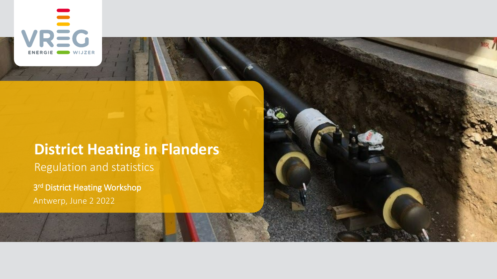

# **District Heating in Flanders** Regulation and statistics

3<sup>rd</sup> District Heating Workshop Antwerp, June 2 2022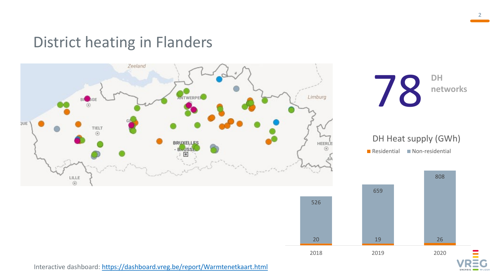### District heating in Flanders



Interactive dashboard: <https://dashboard.vreg.be/report/Warmtenetkaart.html>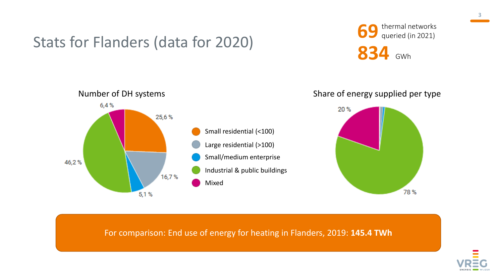### Stats for Flanders (data for 2020)

**69** thermal networks<br>queried (in 2021)

**834** GWh



For comparison: End use of energy for heating in Flanders, 2019: **145.4 TWh**

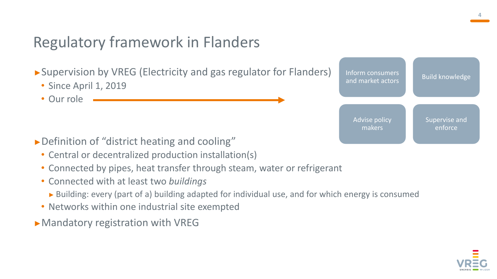## Regulatory framework in Flanders

►Supervision by VREG (Electricity and gas regulator for Flanders)

- Since April 1, 2019
- Our role

- ►Definition of "district heating and cooling"
	- Central or decentralized production installation(s)
	- Connected by pipes, heat transfer through steam, water or refrigerant
	- Connected with at least two *buildings*
		- ► Building: every (part of a) building adapted for individual use, and for which energy is consumed
	- Networks within one industrial site exempted
- ►Mandatory registration with VREG



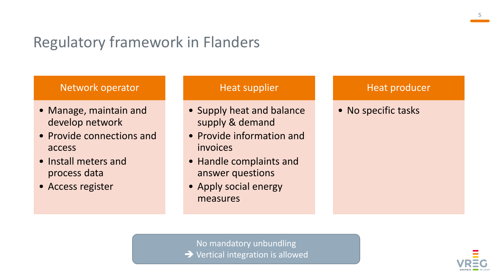### Regulatory framework in Flanders

### Network operator

- Manage, maintain and develop network
- Provide connections and access
- Install meters and process data
- Access register

#### Heat supplier

- Supply heat and balance supply & demand
- Provide information and invoices
- Handle complaints and answer questions
- Apply social energy measures

#### Heat producer

• No specific tasks

No mandatory unbundling → Vertical integration is allowed

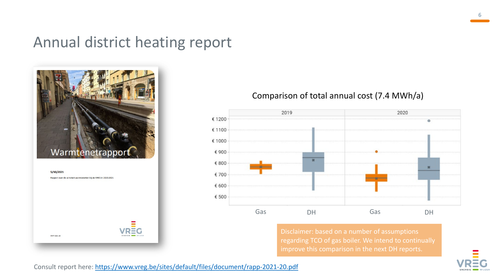### Annual district heating report



5/10/2021 Rapport over de activiteit warmtenetten bij de VREG in 2020-2021 RAPP-2021-20

#### Comparison of total annual cost (7.4 MWh/a)



Disclaimer: based on a number of assumptions regarding TCO of gas boiler. We intend to continually improve this comparison in the next DH reports.



**6**

Consult report here: <https://www.vreg.be/sites/default/files/document/rapp-2021-20.pdf>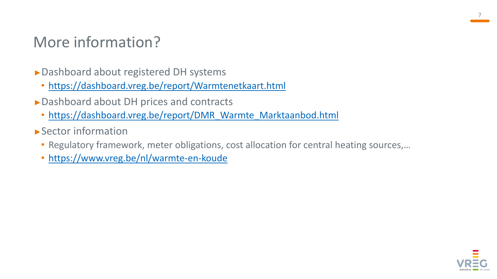## More information?

- ►Dashboard about registered DH systems
	- <https://dashboard.vreg.be/report/Warmtenetkaart.html>
- ►Dashboard about DH prices and contracts
	- [https://dashboard.vreg.be/report/DMR\\_Warmte\\_Marktaanbod.html](https://dashboard.vreg.be/report/DMR_Warmte_Marktaanbod.html)
- ►Sector information
	- Regulatory framework, meter obligations, cost allocation for central heating sources,…
	- <https://www.vreg.be/nl/warmte-en-koude>